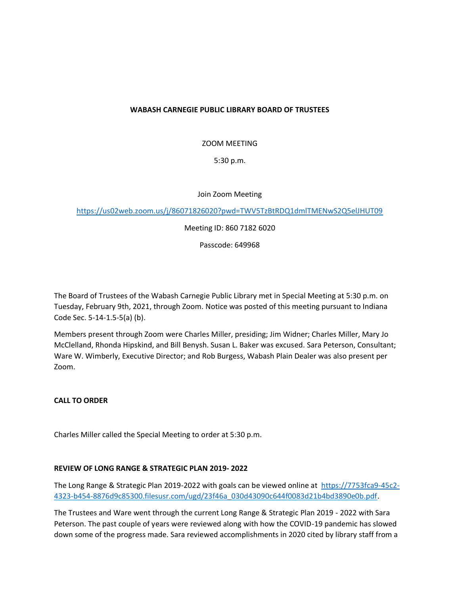## **WABASH CARNEGIE PUBLIC LIBRARY BOARD OF TRUSTEES**

ZOOM MEETING

5:30 p.m.

Join Zoom Meeting

<https://us02web.zoom.us/j/86071826020?pwd=TWV5TzBtRDQ1dmlTMENwS2Q5elJHUT09>

Meeting ID: 860 7182 6020

Passcode: 649968

The Board of Trustees of the Wabash Carnegie Public Library met in Special Meeting at 5:30 p.m. on Tuesday, February 9th, 2021, through Zoom. Notice was posted of this meeting pursuant to Indiana Code Sec. 5-14-1.5-5(a) (b).

Members present through Zoom were Charles Miller, presiding; Jim Widner; Charles Miller, Mary Jo McClelland, Rhonda Hipskind, and Bill Benysh. Susan L. Baker was excused. Sara Peterson, Consultant; Ware W. Wimberly, Executive Director; and Rob Burgess, Wabash Plain Dealer was also present per Zoom.

## **CALL TO ORDER**

Charles Miller called the Special Meeting to order at 5:30 p.m.

## **REVIEW OF LONG RANGE & STRATEGIC PLAN 2019- 2022**

The Long Range & Strategic Plan 2019-2022 with goals can be viewed online at [https://7753fca9-45c2-](https://7753fca9-45c2-4323-b454-8876d9c85300.filesusr.com/ugd/23f46a_030d43090c644f0083d21b4bd3890e0b.pdf) [4323-b454-8876d9c85300.filesusr.com/ugd/23f46a\\_030d43090c644f0083d21b4bd3890e0b.pdf.](https://7753fca9-45c2-4323-b454-8876d9c85300.filesusr.com/ugd/23f46a_030d43090c644f0083d21b4bd3890e0b.pdf)

The Trustees and Ware went through the current Long Range & Strategic Plan 2019 - 2022 with Sara Peterson. The past couple of years were reviewed along with how the COVID-19 pandemic has slowed down some of the progress made. Sara reviewed accomplishments in 2020 cited by library staff from a